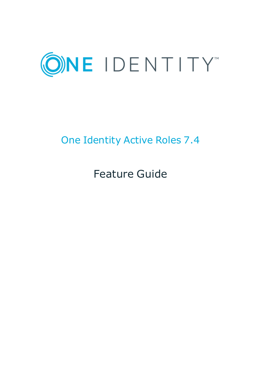

# One Identity Active Roles 7.4

Feature Guide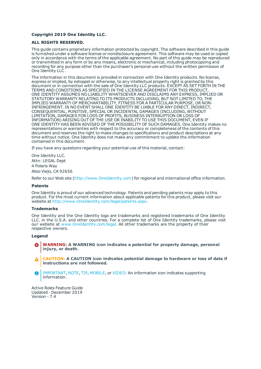#### **Copyright 2019 One Identity LLC.**

#### **ALL RIGHTS RESERVED.**

This guide contains proprietary information protected by copyright. The software described in this guide is furnished under a software license or nondisclosure agreement. This software may be used or copied only in accordance with the terms of the applicable agreement. No part of this guide may be reproduced or transmitted in any form or by any means, electronic or mechanical, including photocopying and recording for any purpose other than the purchaser's personal use without the written permission of One Identity LLC .

The information in this document is provided in connection with One Identity products. No license, express or implied, by estoppel or otherwise, to any intellectual property right is granted by this document or in connection with the sale of One Identity LLC products. EXCEPT AS SET FORTH IN THE TERMS AND CONDITIONS AS SPECIFIED IN THE LICENSE AGREEMENT FOR THIS PRODUCT, ONE IDENTITY ASSUMES NO LIABILITY WHATSOEVER AND DISCLAIMS ANY EXPRESS, IMPLIED OR STATUTORY WARRANTY RELATING TO ITS PRODUCTS INCLUDING, BUT NOT LIMITED TO, THE IMPLIED WARRANTY OF MERCHANTABILITY, FITNESS FOR A PARTICULAR PURPOSE, OR NON-INFRINGEMENT. IN NO EVENT SHALL ONE IDENTITY BE LIABLE FOR ANY DIRECT, INDIRECT, CONSEQUENTIAL, PUNITIVE, SPECIAL OR INCIDENTAL DAMAGES (INCLUDING, WITHOUT LIMITATION, DAMAGES FOR LOSS OF PROFITS, BUSINESS INTERRUPTION OR LOSS OF INFORMATION) ARISING OUT OF THE USE OR INABILITY TO USE THIS DOCUMENT, EVEN IF ONE IDENTITY HAS BEEN ADVISED OF THE POSSIBILITY OF SUCH DAMAGES. One Identity makes no representations or warranties with respect to the accuracy or completeness of the contents of this document and reserves the right to make changes to specifications and product descriptions at any time without notice. One Identity does not make any commitment to update the information contained in this document.

If you have any questions regarding your potential use of this material, contact:

One Identity LLC. Attn: LEGAL Dept 4 Polaris Way Aliso Viejo, CA 92656

Refer to our Web site ([http://www.OneIdentity.com](http://www.oneidentity.com/)) for regional and international office information.

#### **Patents**

One Identity is proud of our advanced technology. Patents and pending patents may apply to this product. For the most current information about applicable patents for this product, please visit our website at [http://www.OneIdentity.com/legal/patents.aspx](http://www.oneidentity.com/legal/patents.aspx).

#### **Trademarks**

One Identity and the One Identity logo are trademarks and registered trademarks of One Identity LLC. in the U.S.A. and other countries. For a complete list of One Identity trademarks, please visit our website at [www.OneIdentity.com/legal](http://www.oneidentity.com/legal). All other trademarks are the property of their respective owners.

#### **Legend**

- **WARNING: A WARNING icon indicates a potential for property damage, personal injury, or death.**
- **CAUTION: A CAUTION icon indicates potential damage to hardware or loss of data if instructions are not followed.**
- IMPORTANT, NOTE, TIP, MOBILE, or VIDEO: An information icon indicates supporting Œ information.

Active Roles Feature Guide Updated - December 2019 Version - 7.4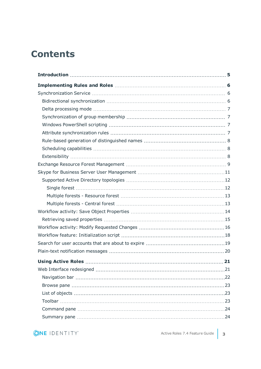# **Contents**

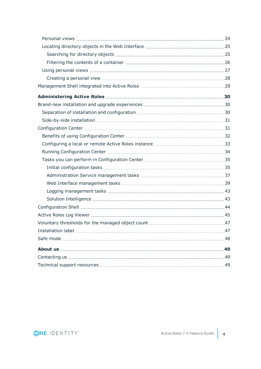| .48 |
|-----|
| 49  |
|     |
|     |

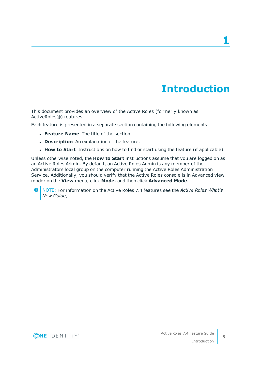**1**

# **Introduction**

<span id="page-4-0"></span>This document provides an overview of the Active Roles (formerly known as ActiveRoles®) features.

Each feature is presented in a separate section containing the following elements:

- **. Feature Name** The title of the section.
- **. Description** An explanation of the feature.
- **How to Start** Instructions on how to find or start using the feature (if applicable).

Unless otherwise noted, the **How to Start** instructions assume that you are logged on as an Active Roles Admin. By default, an Active Roles Admin is any member of the Administrators local group on the computer running the Active Roles Administration Service. Additionally, you should verify that the Active Roles console is in Advanced view mode: on the **View** menu, click **Mode**, and then click **Advanced Mode**.

6 NOTE: For information on the Active Roles 7.4 features see the *Active Roles What's New Guide*.

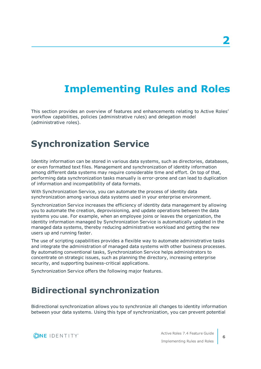# <span id="page-5-0"></span>**Implementing Rules and Roles**

This section provides an overview of features and enhancements relating to Active Roles' workflow capabilities, policies (administrative rules) and delegation model (administrative roles).

## <span id="page-5-1"></span>**Synchronization Service**

Identity information can be stored in various data systems, such as directories, databases, or even formatted text files. Management and synchronization of identity information among different data systems may require considerable time and effort. On top of that, performing data synchronization tasks manually is error-prone and can lead to duplication of information and incompatibility of data formats.

With Synchronization Service, you can automate the process of identity data synchronization among various data systems used in your enterprise environment.

Synchronization Service increases the efficiency of identity data management by allowing you to automate the creation, deprovisioning, and update operations between the data systems you use. For example, when an employee joins or leaves the organization, the identity information managed by Synchronization Service is automatically updated in the managed data systems, thereby reducing administrative workload and getting the new users up and running faster.

The use of scripting capabilities provides a flexible way to automate administrative tasks and integrate the administration of managed data systems with other business processes. By automating conventional tasks, Synchronization Service helps administrators to concentrate on strategic issues, such as planning the directory, increasing enterprise security, and supporting business-critical applications.

<span id="page-5-2"></span>Synchronization Service offers the following major features.

## **Bidirectional synchronization**

Bidirectional synchronization allows you to synchronize all changes to identity information between your data systems. Using this type of synchronization, you can prevent potential



Active Roles 7.4 Feature Guide Implementing Rules and Roles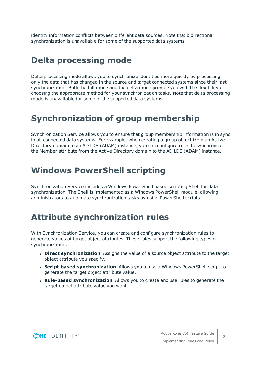identity information conflicts between different data sources. Note that bidirectional synchronization is unavailable for some of the supported data systems.

### <span id="page-6-0"></span>**Delta processing mode**

Delta processing mode allows you to synchronize identities more quickly by processing only the data that has changed in the source and target connected systems since their last synchronization. Both the full mode and the delta mode provide you with the flexibility of choosing the appropriate method for your synchronization tasks. Note that delta processing mode is unavailable for some of the supported data systems.

### <span id="page-6-1"></span>**Synchronization of group membership**

Synchronization Service allows you to ensure that group membership information is in sync in all connected data systems. For example, when creating a group object from an Active Directory domain to an AD LDS (ADAM) instance, you can configure rules to synchronize the Member attribute from the Active Directory domain to the AD LDS (ADAM) instance.

### <span id="page-6-2"></span>**Windows PowerShell scripting**

Synchronization Service includes a Windows PowerShell based scripting Shell for data synchronization. The Shell is implemented as a Windows PowerShell module, allowing administrators to automate synchronization tasks by using PowerShell scripts.

## <span id="page-6-3"></span>**Attribute synchronization rules**

With Synchronization Service, you can create and configure synchronization rules to generate values of target object attributes. These rules support the following types of synchronization:

- **. Direct synchronization** Assigns the value of a source object attribute to the target object attribute you specify.
- <sup>l</sup> **Script-based synchronization** Allows you to use a Windows PowerShell script to generate the target object attribute value.
- <sup>l</sup> **Rule-based synchronization** Allows you to create and use rules to generate the target object attribute value you want.

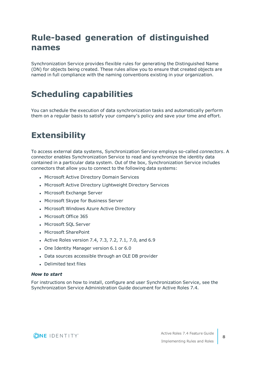## <span id="page-7-0"></span>**Rule-based generation of distinguished names**

Synchronization Service provides flexible rules for generating the Distinguished Name (DN) for objects being created. These rules allow you to ensure that created objects are named in full compliance with the naming conventions existing in your organization.

## <span id="page-7-1"></span>**Scheduling capabilities**

You can schedule the execution of data synchronization tasks and automatically perform them on a regular basis to satisfy your company's policy and save your time and effort.

## <span id="page-7-2"></span>**Extensibility**

To access external data systems, Synchronization Service employs so-called *connectors*. A connector enables Synchronization Service to read and synchronize the identity data contained in a particular data system. Out of the box, Synchronization Service includes connectors that allow you to connect to the following data systems:

- Microsoft Active Directory Domain Services
- Microsoft Active Directory Lightweight Directory Services
- Microsoft Exchange Server
- Microsoft Skype for Business Server
- Microsoft Windows Azure Active Directory
- Microsoft Office 365
- Microsoft SOL Server
- Microsoft SharePoint
- Active Roles version 7.4, 7.3, 7.2, 7.1, 7.0, and 6.9
- One Identity Manager version 6.1 or 6.0
- Data sources accessible through an OLE DB provider
- **.** Delimited text files

#### *How to start*

For instructions on how to install, configure and user Synchronization Service, see the Synchronization Service Administration Guide document for Active Roles 7.4.



**8**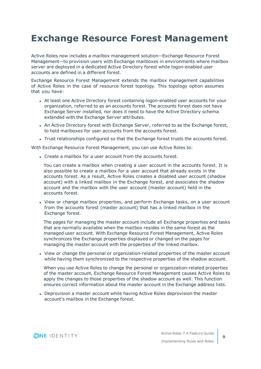# <span id="page-8-0"></span>**Exchange Resource Forest Management**

Active Roles now includes a mailbox management solution—Exchange Resource Forest Management—to provision users with Exchange mailboxes in environments where mailbox server are deployed in a dedicated Active Directory forest while logon-enabled user accounts are defined in a different forest.

Exchange Resource Forest Management extends the mailbox management capabilities of Active Roles in the case of resource forest topology. This topology option assumes that you have:

- At least one Active Directory forest containing logon-enabled user accounts for your organization, referred to as an accounts forest. The accounts forest does not have Exchange Server installed, nor does it need to have the Active Directory schema extended with the Exchange Server attributes.
- An Active Directory forest with Exchange Server, referred to as the Exchange forest, to hold mailboxes for user accounts from the accounts forest.
- Trust relationships configured so that the Exchange forest trusts the accounts forest.

With Exchange Resource Forest Management, you can use Active Roles to:

• Create a mailbox for a user account from the accounts forest.

You can create a mailbox when creating a user account in the accounts forest. It is also possible to create a mailbox for a user account that already exists in the accounts forest. As a result, Active Roles creates a disabled user account (shadow account) with a linked mailbox in the Exchange forest, and associates the shadow account and the mailbox with the user account (master account) held in the accounts forest.

• View or change mailbox properties, and perform Exchange tasks, on a user account from the accounts forest (master account) that has a linked mailbox in the Exchange forest.

The pages for managing the master account include all Exchange properties and tasks that are normally available when the mailbox resides in the same forest as the managed user account. With Exchange Resource Forest Management, Active Roles synchronizes the Exchange properties displayed or changed on the pages for managing the master account with the properties of the linked mailbox.

• View or change the personal or organization-related properties of the master account while having them synchronized to the respective properties of the shadow account.

When you use Active Roles to change the personal or organization-related properties of the master account, Exchange Resource Forest Management causes Active Roles to apply the changes to those properties of the shadow account as well. This function ensures correct information about the master account in the Exchange address lists.

• Deprovision a master account while having Active Roles deprovision the master account's mailbox in the Exchange forest.

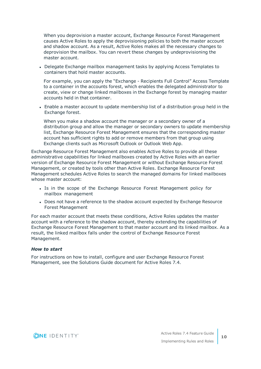When you deprovision a master account, Exchange Resource Forest Management causes Active Roles to apply the deprovisioning policies to both the master account and shadow account. As a result, Active Roles makes all the necessary changes to deprovision the mailbox. You can revert these changes by undeprovisioning the master account.

• Delegate Exchange mailbox management tasks by applying Access Templates to containers that hold master accounts.

For example, you can apply the "Exchange - Recipients Full Control" Access Template to a container in the accounts forest, which enables the delegated administrator to create, view or change linked mailboxes in the Exchange forest by managing master accounts held in that container.

• Enable a master account to update membership list of a distribution group held in the Exchange forest.

When you make a shadow account the manager or a secondary owner of a distribution group and allow the manager or secondary owners to update membership list, Exchange Resource Forest Management ensures that the corresponding master account has sufficient rights to add or remove members from that group using Exchange clients such as Microsoft Outlook or Outlook Web App.

Exchange Resource Forest Management also enables Active Roles to provide all these administrative capabilities for linked mailboxes created by Active Roles with an earlier version of Exchange Resource Forest Management or without Exchange Resource Forest Management, or created by tools other than Active Roles. Exchange Resource Forest Management schedules Active Roles to search the managed domains for linked mailboxes whose master account:

- Is in the scope of the Exchange Resource Forest Management policy for mailbox management
- Does not have a reference to the shadow account expected by Exchange Resource Forest Management

For each master account that meets these conditions, Active Roles updates the master account with a reference to the shadow account, thereby extending the capabilities of Exchange Resource Forest Management to that master account and its linked mailbox. As a result, the linked mailbox falls under the control of Exchange Resource Forest Management.

#### *How to start*

For instructions on how to install, configure and user Exchange Resource Forest Management, see the Solutions Guide document for Active Roles 7.4.

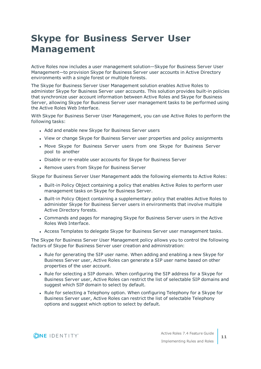# <span id="page-10-0"></span>**Skype for Business Server User Management**

Active Roles now includes a user management solution—Skype for Business Server User Management—to provision Skype for Business Server user accounts in Active Directory environments with a single forest or multiple forests.

The Skype for Business Server User Management solution enables Active Roles to administer Skype for Business Server user accounts. This solution provides built-in policies that synchronize user account information between Active Roles and Skype for Business Server, allowing Skype for Business Server user management tasks to be performed using the Active Roles Web Interface.

With Skype for Business Server User Management, you can use Active Roles to perform the following tasks:

- Add and enable new Skype for Business Server users
- View or change Skype for Business Server user properties and policy assignments
- Move Skype for Business Server users from one Skype for Business Server pool to another
- Disable or re-enable user accounts for Skype for Business Server
- Remove users from Skype for Business Server

Skype for Business Server User Management adds the following elements to Active Roles:

- Built-in Policy Object containing a policy that enables Active Roles to perform user management tasks on Skype for Business Server.
- Built-in Policy Object containing a supplementary policy that enables Active Roles to administer Skype for Business Server users in environments that involve multiple Active Directory forests.
- Commands and pages for managing Skype for Business Server users in the Active Roles Web Interface.
- Access Templates to delegate Skype for Business Server user management tasks.

The Skype for Business Server User Management policy allows you to control the following factors of Skype for Business Server user creation and administration:

- Rule for generating the SIP user name. When adding and enabling a new Skype for Business Server user, Active Roles can generate a SIP user name based on other properties of the user account.
- Rule for selecting a SIP domain. When configuring the SIP address for a Skype for Business Server user, Active Roles can restrict the list of selectable SIP domains and suggest which SIP domain to select by default.
- Rule for selecting a Telephony option. When configuring Telephony for a Skype for Business Server user, Active Roles can restrict the list of selectable Telephony options and suggest which option to select by default.



**11**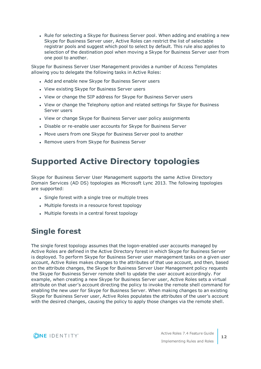• Rule for selecting a Skype for Business Server pool. When adding and enabling a new Skype for Business Server user, Active Roles can restrict the list of selectable registrar pools and suggest which pool to select by default. This rule also applies to selection of the destination pool when moving a Skype for Business Server user from one pool to another.

Skype for Business Server User Management provides a number of Access Templates allowing you to delegate the following tasks in Active Roles:

- Add and enable new Skype for Business Server users
- View existing Skype for Business Server users
- View or change the SIP address for Skype for Business Server users
- View or change the Telephony option and related settings for Skype for Business Server users
- View or change Skype for Business Server user policy assignments
- Disable or re-enable user accounts for Skype for Business Server
- Move users from one Skype for Business Server pool to another
- Remove users from Skype for Business Server

## <span id="page-11-0"></span>**Supported Active Directory topologies**

Skype for Business Server User Management supports the same Active Directory Domain Services (AD DS) topologies as Microsoft Lync 2013. The following topologies are supported:

- Single forest with a single tree or multiple trees
- Multiple forests in a resource forest topology
- Multiple forests in a central forest topology

### <span id="page-11-1"></span>**Single forest**

The single forest topology assumes that the logon-enabled user accounts managed by Active Roles are defined in the Active Directory forest in which Skype for Business Server is deployed. To perform Skype for Business Server user management tasks on a given user account, Active Roles makes changes to the attributes of that use account, and then, based on the attribute changes, the Skype for Business Server User Management policy requests the Skype for Business Server remote shell to update the user account accordingly. For example, when creating a new Skype for Business Server user, Active Roles sets a virtual attribute on that user's account directing the policy to invoke the remote shell command for enabling the new user for Skype for Business Server. When making changes to an existing Skype for Business Server user, Active Roles populates the attributes of the user's account with the desired changes, causing the policy to apply those changes via the remote shell.

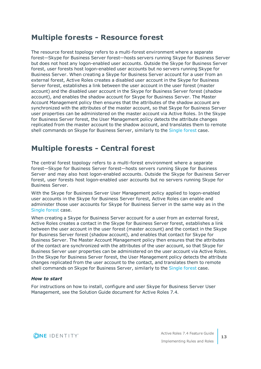### <span id="page-12-0"></span>**Multiple forests - Resource forest**

The resource forest topology refers to a multi-forest environment where a separate forest—Skype for Business Server forest—hosts servers running Skype for Business Server but does not host any logon-enabled user accounts. Outside the Skype for Business Server forest, user forests host logon-enabled user accounts but no servers running Skype for Business Server. When creating a Skype for Business Server account for a user from an external forest, Active Roles creates a disabled user account in the Skype for Business Server forest, establishes a link between the user account in the user forest (master account) and the disabled user account in the Skype for Business Server forest (shadow account), and enables the shadow account for Skype for Business Server. The Master Account Management policy then ensures that the attributes of the shadow account are synchronized with the attributes of the master account, so that Skype for Business Server user properties can be administered on the master account via Active Roles. In the Skype for Business Server forest, the User Management policy detects the attribute changes replicated from the master account to the shadow account, and translates them to remote shell commands on Skype for Business Server, similarly to the [Single](#page-11-1) forest case.

### <span id="page-12-1"></span>**Multiple forests - Central forest**

The central forest topology refers to a multi-forest environment where a separate forest—Skype for Business Server forest—hosts servers running Skype for Business Server and may also host logon-enabled accounts. Outside the Skype for Business Server forest, user forests host logon-enabled user accounts but no servers running Skype for Business Server.

With the Skype for Business Server User Management policy applied to logon-enabled user accounts in the Skype for Business Server forest, Active Roles can enable and administer those user accounts for Skype for Business Server in the same way as in the [Single](#page-11-1) forest case.

When creating a Skype for Business Server account for a user from an external forest, Active Roles creates a contact in the Skype for Business Server forest, establishes a link between the user account in the user forest (master account) and the contact in the Skype for Business Server forest (shadow account), and enables that contact for Skype for Business Server. The Master Account Management policy then ensures that the attributes of the contact are synchronized with the attributes of the user account, so that Skype for Business Server user properties can be administered on the user account via Active Roles. In the Skype for Business Server forest, the User Management policy detects the attribute changes replicated from the user account to the contact, and translates them to remote shell commands on Skype for Business Server, similarly to the [Single](#page-11-1) forest case.

#### *How to start*

For instructions on how to install, configure and user Skype for Business Server User Management, see the Solution Guide document for Active Roles 7.4.

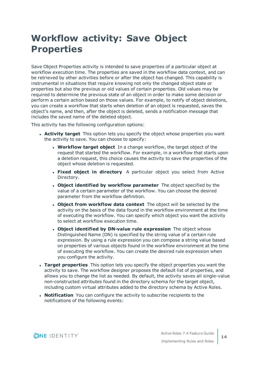# <span id="page-13-0"></span>**Workflow activity: Save Object Properties**

Save Object Properties activity is intended to save properties of a particular object at workflow execution time. The properties are saved in the workflow data context, and can be retrieved by other activities before or after the object has changed. This capability is instrumental in situations that require knowing not only the changed object state or properties but also the previous or old values of certain properties. Old values may be required to determine the previous state of an object in order to make some decision or perform a certain action based on those values. For example, to notify of object deletions, you can create a workflow that starts when deletion of an object is requested, saves the object's name, and then, after the object is deleted, sends a notification message that includes the saved name of the deleted object.

This activity has the following configuration options:

- **Activity target** This option lets you specify the object whose properties you want the activity to save. You can choose to specify:
	- **Workflow target object** In a change workflow, the target object of the request that started the workflow. For example, in a workflow that starts upon a deletion request, this choice causes the activity to save the properties of the object whose deletion is requested.
	- <sup>l</sup> **Fixed object in directory** A particular object you select from Active Directory.
	- <sup>l</sup> **Object identified by workflow parameter** The object specified by the value of a certain parameter of the workflow. You can choose the desired parameter from the workflow definition.
	- <sup>l</sup> **Object from workflow data context** The object will be selected by the activity on the basis of the data found in the workflow environment at the time of executing the workflow. You can specify which object you want the activity to select at workflow execution time.
	- <sup>l</sup> **Object identified by DN-value rule expression** The object whose Distinguished Name (DN) is specified by the string value of a certain rule expression. By using a rule expression you can compose a string value based on properties of various objects found in the workflow environment at the time of executing the workflow. You can create the desired rule expression when you configure the activity.
- **· Target properties** This option lets you specify the object properties you want the activity to save. The workflow designer proposes the default list of properties, and allows you to change the list as needed. By default, the activity saves all single-value non-constructed attributes found in the directory schema for the target object, including custom virtual attributes added to the directory schema by Active Roles.
- **Notification** You can configure the activity to subscribe recipients to the notifications of the following events:

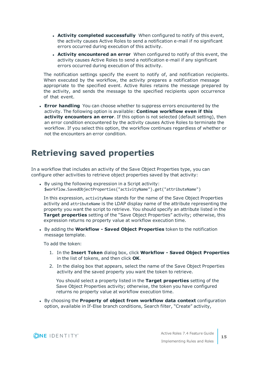- <sup>l</sup> **Activity completed successfully** When configured to notify of this event, the activity causes Active Roles to send a notification e-mail if no significant errors occurred during execution of this activity.
- <sup>l</sup> **Activity encountered an error** When configured to notify of this event, the activity causes Active Roles to send a notification e-mail if any significant errors occurred during execution of this activity.

The notification settings specify the event to notify of, and notification recipients. When executed by the workflow, the activity prepares a notification message appropriate to the specified event. Active Roles retains the message prepared by the activity, and sends the message to the specified recipients upon occurrence of that event.

**Error handling** You can choose whether to suppress errors encountered by the activity. The following option is available: **Continue workflow even if this activity encounters an error**. If this option is not selected (default setting), then an error condition encountered by the activity causes Active Roles to terminate the workflow. If you select this option, the workflow continues regardless of whether or not the encounters an error condition.

## <span id="page-14-0"></span>**Retrieving saved properties**

In a workflow that includes an activity of the Save Object Properties type, you can configure other activities to retrieve object properties saved by that activity:

• By using the following expression in a Script activity: \$workflow.SavedObjectProperties("activityName").get("attributeName")

In this expression, activityName stands for the name of the Save Object Properties activity and attributeName is the LDAP display name of the attribute representing the property you want the script to retrieve. You should specify an attribute listed in the **Target properties** setting of the "Save Object Properties" activity; otherwise, this expression returns no property value at workflow execution time.

<sup>l</sup> By adding the **Workflow - Saved Object Properties** token to the notification message template.

To add the token:

- 1. In the **Insert Token** dialog box, click **Workflow - Saved Object Properties** in the list of tokens, and then click **OK**.
- 2. In the dialog box that appears, select the name of the Save Object Properties activity and the saved property you want the token to retrieve.

You should select a property listed in the **Target properties** setting of the Save Object Properties activity; otherwise, the token you have configured returns no property value at workflow execution time.

<sup>l</sup> By choosing the **Property of object from workflow data context** configuration option, available in If-Else branch conditions, Search filter, "Create" activity,

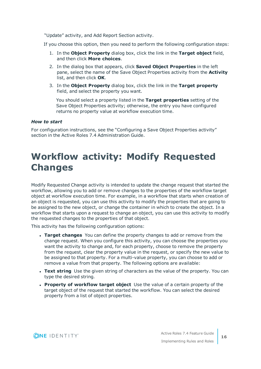"Update" activity, and Add Report Section activity.

If you choose this option, then you need to perform the following configuration steps:

- 1. In the **Object Property** dialog box, click the link in the **Target object** field, and then click **More choices**.
- 2. In the dialog box that appears, click **Saved Object Properties** in the left pane, select the name of the Save Object Properties activity from the **Activity** list, and then click **OK**.
- 3. In the **Object Property** dialog box, click the link in the **Target property** field, and select the property you want.

You should select a property listed in the **Target properties** setting of the Save Object Properties activity; otherwise, the entry you have configured returns no property value at workflow execution time.

#### *How to start*

For configuration instructions, see the "Configuring a Save Object Properties activity" section in the Active Roles 7.4 Administration Guide.

# <span id="page-15-0"></span>**Workflow activity: Modify Requested Changes**

Modify Requested Change activity is intended to update the change request that started the workflow, allowing you to add or remove changes to the properties of the workflow target object at workflow execution time. For example, in a workflow that starts when creation of an object is requested, you can use this activity to modify the properties that are going to be assigned to the new object, or change the container in which to create the object. In a workflow that starts upon a request to change an object, you can use this activity to modify the requested changes to the properties of that object.

This activity has the following configuration options:

- <sup>l</sup> **Target changes** You can define the property changes to add or remove from the change request. When you configure this activity, you can choose the properties you want the activity to change and, for each property, choose to remove the property from the request, clear the property value in the request, or specify the new value to be assigned to that property. For a multi-value property, you can choose to add or remove a value from that property. The following options are available:
- **Text string** Use the given string of characters as the value of the property. You can type the desired string.
- <sup>l</sup> **Property of workflow target object** Use the value of a certain property of the target object of the request that started the workflow. You can select the desired property from a list of object properties.

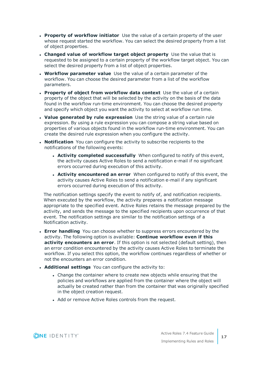- **Property of workflow initiator** Use the value of a certain property of the user whose request started the workflow. You can select the desired property from a list of object properties.
- <sup>l</sup> **Changed value of workflow target object property** Use the value that is requested to be assigned to a certain property of the workflow target object. You can select the desired property from a list of object properties.
- **Workflow parameter value** Use the value of a certain parameter of the workflow. You can choose the desired parameter from a list of the workflow parameters.
- <sup>l</sup> **Property of object from workflow data context** Use the value of a certain property of the object that will be selected by the activity on the basis of the data found in the workflow run-time environment. You can choose the desired property and specify which object you want the activity to select at workflow run time.
- **. Value generated by rule expression** Use the string value of a certain rule expression. By using a rule expression you can compose a string value based on properties of various objects found in the workflow run-time environment. You can create the desired rule expression when you configure the activity.
- **· Notification** You can configure the activity to subscribe recipients to the notifications of the following events:
	- **Activity completed successfully** When configured to notify of this event, the activity causes Active Roles to send a notification e-mail if no significant errors occurred during execution of this activity.
	- <sup>l</sup> **Activity encountered an error** When configured to notify of this event, the activity causes Active Roles to send a notification e-mail if any significant errors occurred during execution of this activity.

The notification settings specify the event to notify of, and notification recipients. When executed by the workflow, the activity prepares a notification message appropriate to the specified event. Active Roles retains the message prepared by the activity, and sends the message to the specified recipients upon occurrence of that event. The notification settings are similar to the notification settings of a Notification activity.

- **Error handling** You can choose whether to suppress errors encountered by the activity. The following option is available: **Continue workflow even if this activity encounters an error**. If this option is not selected (default setting), then an error condition encountered by the activity causes Active Roles to terminate the workflow. If you select this option, the workflow continues regardless of whether or not the encounters an error condition.
- **.** Additional settings You can configure the activity to:
	- Change the container where to create new objects while ensuring that the policies and workflows are applied from the container where the object will actually be created rather than from the container that was originally specified in the object creation request.
	- Add or remove Active Roles controls from the request.

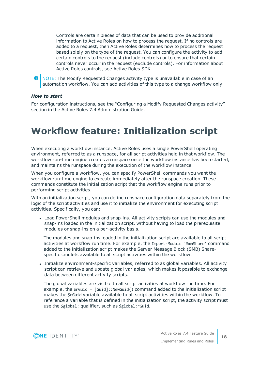Controls are certain pieces of data that can be used to provide additional information to Active Roles on how to process the request. If no controls are added to a request, then Active Roles determines how to process the request based solely on the type of the request. You can configure the activity to add certain controls to the request (include controls) or to ensure that certain controls never occur in the request (exclude controls). For information about Active Roles controls, see Active Roles SDK.

0 NOTE: The Modify Requested Changes activity type is unavailable in case of an automation workflow. You can add activities of this type to a change workflow only.

#### *How to start*

For configuration instructions, see the "Configuring a Modify Requested Changes activity" section in the Active Roles 7.4 Administration Guide.

# <span id="page-17-0"></span>**Workflow feature: Initialization script**

When executing a workflow instance, Active Roles uses a single PowerShell operating environment, referred to as a runspace, for all script activities held in that workflow. The workflow run-time engine creates a runspace once the workflow instance has been started, and maintains the runspace during the execution of the workflow instance.

When you configure a workflow, you can specify PowerShell commands you want the workflow run-time engine to execute immediately after the runspace creation. These commands constitute the initialization script that the workflow engine runs prior to performing script activities.

With an initialization script, you can define runspace configuration data separately from the logic of the script activities and use it to initialize the environment for executing script activities. Specifically, you can:

• Load PowerShell modules and snap-ins. All activity scripts can use the modules and snap-ins loaded in the initialization script, without having to load the prerequisite modules or snap-ins on a per-activity basis.

The modules and snap-ins loaded in the initialization script are available to all script activities at workflow run time. For example, the Import-Module 'SmbShare' command added to the initialization script makes the Server Message Block (SMB) Sharespecific cmdlets available to all script activities within the workflow.

• Initialize environment-specific variables, referred to as global variables. All activity script can retrieve and update global variables, which makes it possible to exchange data between different activity scripts.

The global variables are visible to all script activities at workflow run time. For example, the  $\frac{1}{2}$ rGuid = [Guid]::NewGuid() command added to the initialization script makes the \$rGuid variable available to all script activities within the workflow. To reference a variable that is defined in the initialization script, the activity script must use the \$global: qualifier, such as \$global:rGuid.

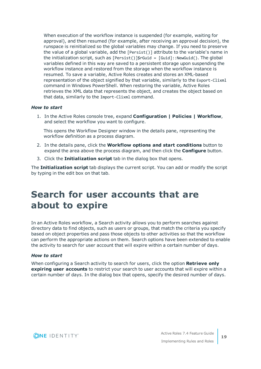When execution of the workflow instance is suspended (for example, waiting for approval), and then resumed (for example, after receiving an approval decision), the runspace is reinitialized so the global variables may change. If you need to preserve the value of a global variable, add the [Persist()] attribute to the variable's name in the initialization script, such as [Persist()]\$rGuid = [Guid]::NewGuid(). The global variables defined in this way are saved to a persistent storage upon suspending the workflow instance and restored from the storage when the workflow instance is resumed. To save a variable, Active Roles creates and stores an XML-based representation of the object signified by that variable, similarly to the Export-Clixml command in Windows PowerShell. When restoring the variable, Active Roles retrieves the XML data that represents the object, and creates the object based on that data, similarly to the Import-Clixml command.

#### *How to start*

1. In the Active Roles console tree, expand **Configuration | Policies | Workflow**, and select the workflow you want to configure.

This opens the Workflow Designer window in the details pane, representing the workflow definition as a process diagram.

- 2. In the details pane, click the **Workflow options and start conditions** button to expand the area above the process diagram, and then click the **Configure** button.
- 3. Click the **Initialization script** tab in the dialog box that opens.

The **Initialization script** tab displays the current script. You can add or modify the script by typing in the edit box on that tab.

# <span id="page-18-0"></span>**Search for user accounts that are about to expire**

In an Active Roles workflow, a Search activity allows you to perform searches against directory data to find objects, such as users or groups, that match the criteria you specify based on object properties and pass those objects to other activities so that the workflow can perform the appropriate actions on them. Search options have been extended to enable the activity to search for user account that will expire within a certain number of days.

#### *How to start*

When configuring a Search activity to search for users, click the option **Retrieve only expiring user accounts** to restrict your search to user accounts that will expire within a certain number of days. In the dialog box that opens, specify the desired number of days.

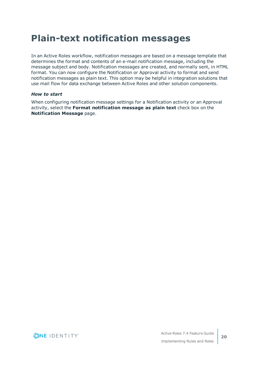# <span id="page-19-0"></span>**Plain-text notification messages**

In an Active Roles workflow, notification messages are based on a message template that determines the format and contents of an e-mail notification message, including the message subject and body. Notification messages are created, and normally sent, in HTML format. You can now configure the Notification or Approval activity to format and send notification messages as plain text. This option may be helpful in integration solutions that use mail flow for data exchange between Active Roles and other solution components.

#### *How to start*

When configuring notification message settings for a Notification activity or an Approval activity, select the **Format notification message as plain text** check box on the **Notification Message** page.

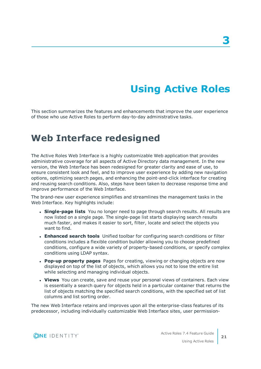# **Using Active Roles**

<span id="page-20-0"></span>This section summarizes the features and enhancements that improve the user experience of those who use Active Roles to perform day-to-day administrative tasks.

## <span id="page-20-1"></span>**Web Interface redesigned**

The Active Roles Web Interface is a highly customizable Web application that provides administrative coverage for all aspects of Active Directory data management. In the new version, the Web Interface has been redesigned for greater clarity and ease of use, to ensure consistent look and feel, and to improve user experience by adding new navigation options, optimizing search pages, and enhancing the point-and-click interface for creating and reusing search conditions. Also, steps have been taken to decrease response time and improve performance of the Web Interface.

The brand-new user experience simplifies and streamlines the management tasks in the Web Interface. Key highlights include:

- <sup>l</sup> **Single-page lists** You no longer need to page through search results. All results are now listed on a single page. The single-page list starts displaying search results much faster, and makes it easier to sort, filter, locate and select the objects you want to find.
- **Enhanced search tools** Unified toolbar for configuring search conditions or filter conditions includes a flexible condition builder allowing you to choose predefined conditions, configure a wide variety of property-based conditions, or specify complex conditions using LDAP syntax.
- <sup>l</sup> **Pop-up property pages** Pages for creating, viewing or changing objects are now displayed on top of the list of objects, which allows you not to lose the entire list while selecting and managing individual objects.
- **· Views** You can create, save and reuse your personal views of containers. Each view is essentially a search query for objects held in a particular container that returns the list of objects matching the specified search conditions, with the specified set of list columns and list sorting order.

The new Web Interface retains and improves upon all the enterprise-class features of its predecessor, including individually customizable Web Interface sites, user permission-

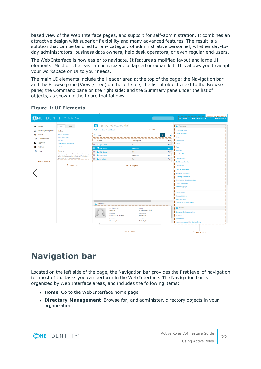based view of the Web Interface pages, and support for self-administration. It combines an attractive design with superior flexibility and many advanced features. The result is a solution that can be tailored for any category of administrative personnel, whether day-today administrators, business data owners, help desk operators, or even regular end-users.

The Web Interface is now easier to navigate. It features simplified layout and large UI elements. Most of UI areas can be resized, collapsed or expanded. This allows you to adapt your workspace on UI to your needs.

The main UI elements include the Header area at the top of the page; the Navigation bar and the Browse pane (Views/Tree) on the left side; the list of objects next to the Browse pane; the Command pane on the right side; and the Summary pane under the list of objects, as shown in the figure that follows.

|                                                                                                                                                                                                                   | <b>ONE IDENTITY</b> Active Roles                                                                                                                                                                                                                                                                                                                                                                                                                                                                                                                                               |                                                                                                                                   | $\alpha$                                                                              | <b>Feedback and Notifications</b><br><b>O</b> Active Roles 7.4<br>$\Delta$ $\angle$ & ARSAdmin $\sim$<br>Pa Feedback                                             |
|-------------------------------------------------------------------------------------------------------------------------------------------------------------------------------------------------------------------|--------------------------------------------------------------------------------------------------------------------------------------------------------------------------------------------------------------------------------------------------------------------------------------------------------------------------------------------------------------------------------------------------------------------------------------------------------------------------------------------------------------------------------------------------------------------------------|-----------------------------------------------------------------------------------------------------------------------------------|---------------------------------------------------------------------------------------|------------------------------------------------------------------------------------------------------------------------------------------------------------------|
| Home<br><b>Directory Management</b><br>a.<br>Search<br>Q<br>Customization<br>Approval<br>о<br><b>Settings</b>                                                                                                     | <b>Views</b><br>Tree<br>- Built-in<br><b>Active Directory</b><br><b>Managed Units</b><br><b>AD LDS</b><br><b>Automation Workflows</b><br>Azure                                                                                                                                                                                                                                                                                                                                                                                                                                 | TESTOU (objects found: 5)<br>Active Directory / ARSRD.Lab<br>=<br>Filter<br>$\Box$ Name<br>□ A Ajay Gupta<br><b>图 日 Anu Mehta</b> | Toolbar<br><b>Description</b><br>QA<br><b>Developer</b>                               | Anu Mehta<br><b>Disable Account</b><br><b>Reset Password</b><br>$\checkmark$<br>Delete<br>Deprovision<br>Type<br>Move<br>User i<br>Copy<br><b>User</b><br>Rename |
| Personal<br>Help<br>o<br>You have no personal Views. To create a View,<br>click the button on the left side of the toolbar,<br>and then click "Save current view".<br><b>Navigation bar</b><br><b>Browse pane</b> | <b>D &amp;</b> Ekta Gupta<br><b>HR</b><br>User<br>Member Of<br>ю.<br>Prashant P<br>Developer<br>User<br><b>Change History</b><br>i □ <u>●</u> Priya Pate<br>QA<br>User<br><b>Entitlement Profile</b><br><b>User Activity</b><br>List of objects<br><b>General Properties</b><br><b>Managed Resources</b><br><b>Exchange Properties</b><br><b>Terminal Services Properties</b><br><b>Dial-in Properties</b><br><b>Name Mappings</b><br><b>Move Mailbox</b><br><b>Disable Mailbox</b><br>Enable Archive<br>$\,$<br>$\leftarrow$<br><b>Convert to Linked Mailbox</b><br>Anu Mehta |                                                                                                                                   |                                                                                       |                                                                                                                                                                  |
|                                                                                                                                                                                                                   |                                                                                                                                                                                                                                                                                                                                                                                                                                                                                                                                                                                |                                                                                                                                   |                                                                                       |                                                                                                                                                                  |
|                                                                                                                                                                                                                   |                                                                                                                                                                                                                                                                                                                                                                                                                                                                                                                                                                                | User logon name<br>amehta<br>Modified<br>9/26/2019 9:50:08 AM<br>Expiration<br>Never expires<br><b>Summary pane</b>               | E-mail<br>amehta@arsrd.lab<br>Description<br>Developer<br>Job title<br>Staff Engineer | <b>THE TESTOU</b><br>Search under this container<br><b>New User</b><br>New Group<br>New Query-based Distribution Group<br>Command pane                           |

#### **Figure 1: UI Elements**

## <span id="page-21-0"></span>**Navigation bar**

Located on the left side of the page, the Navigation bar provides the first level of navigation for most of the tasks you can perform in the Web Interface. The Navigation bar is organized by Web Interface areas, and includes the following items:

- **Home** Go to the Web Interface home page.
- <sup>l</sup> **Directory Management** Browse for, and administer, directory objects in your organization.

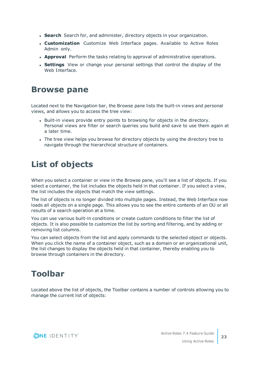- **Search** Search for, and administer, directory objects in your organization.
- **Customization** Customize Web Interface pages. Available to Active Roles Admin only.
- **Approval** Perform the tasks relating to approval of administrative operations.
- **. Settings** View or change your personal settings that control the display of the Web Interface.

### <span id="page-22-0"></span>**Browse pane**

Located next to the Navigation bar, the Browse pane lists the built-in views and personal views, and allows you to access the tree view:

- Built-in views provide entry points to browsing for objects in the directory. Personal views are filter or search queries you build and save to use them again at a later time.
- The tree view helps you browse for directory objects by using the directory tree to navigate through the hierarchical structure of containers.

## <span id="page-22-1"></span>**List of objects**

When you select a container or view in the Browse pane, you'll see a list of objects. If you select a container, the list includes the objects held in that container. If you select a view, the list includes the objects that match the view settings.

The list of objects is no longer divided into multiple pages. Instead, the Web Interface now loads all objects on a single page. This allows you to see the entire contents of an OU or all results of a search operation at a time.

You can use various built-in conditions or create custom conditions to filter the list of objects. It is also possible to customize the list by sorting and filtering, and by adding or removing list columns.

You can select objects from the list and apply commands to the selected object or objects. When you click the name of a container object, such as a domain or an organizational unit, the list changes to display the objects held in that container, thereby enabling you to browse through containers in the directory.

## <span id="page-22-2"></span>**Toolbar**

Located above the list of objects, the Toolbar contains a number of controls allowing you to manage the current list of objects:

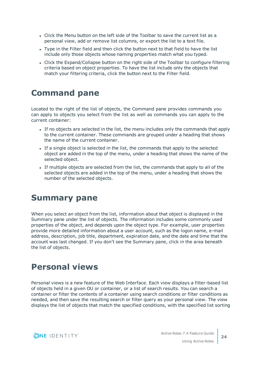- Click the Menu button on the left side of the Toolbar to save the current list as a personal view, add or remove list columns, or export the list to a text file.
- Type in the Filter field and then click the button next to that field to have the list include only those objects whose naming properties match what you typed.
- Click the Expand/Collapse button on the right side of the Toolbar to configure filtering criteria based on object properties. To have the list include only the objects that match your filtering criteria, click the button next to the Filter field.

## <span id="page-23-0"></span>**Command pane**

Located to the right of the list of objects, the Command pane provides commands you can apply to objects you select from the list as well as commands you can apply to the current container:

- If no objects are selected in the list, the menu includes only the commands that apply to the current container. These commands are grouped under a heading that shows the name of the current container.
- If a single object is selected in the list, the commands that apply to the selected object are added in the top of the menu, under a heading that shows the name of the selected object.
- If multiple objects are selected from the list, the commands that apply to all of the selected objects are added in the top of the menu, under a heading that shows the number of the selected objects.

## <span id="page-23-1"></span>**Summary pane**

When you select an object from the list, information about that object is displayed in the Summary pane under the list of objects. The information includes some commonly used properties of the object, and depends upon the object type. For example, user properties provide more detailed information about a user account, such as the logon name, e-mail address, description, job title, department, expiration date, and the date and time that the account was last changed. If you don't see the Summary pane, click in the area beneath the list of objects.

## <span id="page-23-2"></span>**Personal views**

Personal views is a new feature of the Web Interface. Each view displays a filter-based list of objects held in a given OU or container, or a list of search results. You can search a container or filter the contents of a container using search conditions or filter conditions as needed, and then save the resulting search or filter query as your personal view. The view displays the list of objects that match the specified conditions, with the specified list sorting

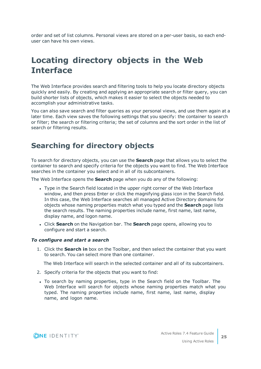order and set of list columns. Personal views are stored on a per-user basis, so each enduser can have his own views.

## <span id="page-24-0"></span>**Locating directory objects in the Web Interface**

The Web Interface provides search and filtering tools to help you locate directory objects quickly and easily. By creating and applying an appropriate search or filter query, you can build shorter lists of objects, which makes it easier to select the objects needed to accomplish your administrative tasks.

You can also save search and filter queries as your personal views, and use them again at a later time. Each view saves the following settings that you specify: the container to search or filter; the search or filtering criteria; the set of columns and the sort order in the list of search or filtering results.

### <span id="page-24-1"></span>**Searching for directory objects**

To search for directory objects, you can use the **Search** page that allows you to select the container to search and specify criteria for the objects you want to find. The Web Interface searches in the container you select and in all of its subcontainers.

The Web Interface opens the **Search** page when you do any of the following:

- Type in the Search field located in the upper right corner of the Web Interface window, and then press Enter or click the magnifying glass icon in the Search field. In this case, the Web Interface searches all managed Active Directory domains for objects whose naming properties match what you typed and the **Search** page lists the search results. The naming properties include name, first name, last name, display name, and logon name.
- <sup>l</sup> Click **Search** on the Navigation bar. The **Search** page opens, allowing you to configure and start a search.

#### *To configure and start a search*

1. Click the **Search in** box on the Toolbar, and then select the container that you want to search. You can select more than one container.

The Web Interface will search in the selected container and all of its subcontainers.

- 2. Specify criteria for the objects that you want to find:
- To search by naming properties, type in the Search field on the Toolbar. The Web Interface will search for objects whose naming properties match what you typed. The naming properties include name, first name, last name, display name, and logon name.

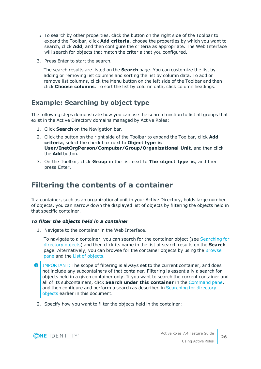- To search by other properties, click the button on the right side of the Toolbar to expand the Toolbar, click **Add criteria**, choose the properties by which you want to search, click **Add**, and then configure the criteria as appropriate. The Web Interface will search for objects that match the criteria that you configured.
- 3. Press Enter to start the search.

The search results are listed on the **Search** page. You can customize the list by adding or removing list columns and sorting the list by column data. To add or remove list columns, click the Menu button on the left side of the Toolbar and then click **Choose columns**. To sort the list by column data, click column headings.

### **Example: Searching by object type**

The following steps demonstrate how you can use the search function to list all groups that exist in the Active Directory domains managed by Active Roles:

- 1. Click **Search** on the Navigation bar.
- 2. Click the button on the right side of the Toolbar to expand the Toolbar, click **Add criteria**, select the check box next to **Object type is User/InetOrgPerson/Computer/Group/Organizational Unit**, and then click the **Add** button.
- 3. On the Toolbar, click **Group** in the list next to **The object type is**, and then press Enter.

### <span id="page-25-0"></span>**Filtering the contents of a container**

If a container, such as an organizational unit in your Active Directory, holds large number of objects, you can narrow down the displayed list of objects by filtering the objects held in that specific container.

#### *To filter the objects held in a container*

1. Navigate to the container in the Web Interface.

To navigate to a container, you can search for the container object (see [Searching](#page-24-1) for [directory](#page-24-1) objects) and then click its name in the list of search results on the **Search** page. Alternatively, you can browse for the container objects by using the [Browse](#page-22-0) [pane](#page-22-0) and the List of [objects.](#page-22-1)

- **O** IMPORTANT: The scope of filtering is always set to the current container, and does not include any subcontainers of that container. Filtering is essentially a search for objects held in a given container only. If you want to search the current container and all of its subcontainers, click **Search under this container** in the [Command](#page-23-0) pane, and then configure and perform a search as described in [Searching](#page-24-1) for directory [objects](#page-24-1) earlier in this document.
- 2. Specify how you want to filter the objects held in the container:

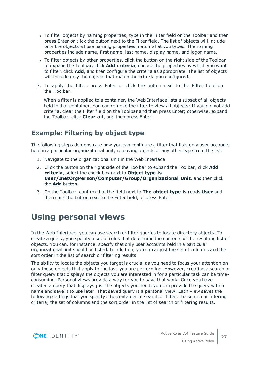- To filter objects by naming properties, type in the Filter field on the Toolbar and then press Enter or click the button next to the Filter field. The list of objects will include only the objects whose naming properties match what you typed. The naming properties include name, first name, last name, display name, and logon name.
- To filter objects by other properties, click the button on the right side of the Toolbar to expand the Toolbar, click **Add criteria**, choose the properties by which you want to filter, click **Add**, and then configure the criteria as appropriate. The list of objects will include only the objects that match the criteria you configured.
- 3. To apply the filter, press Enter or click the button next to the Filter field on the Toolbar.

When a filter is applied to a container, the Web Interface lists a subset of all objects held in that container. You can remove the filter to view all objects: If you did not add criteria, clear the Filter field on the Toolbar and then press Enter; otherwise, expand the Toolbar, click **Clear all**, and then press Enter.

### **Example: Filtering by object type**

The following steps demonstrate how you can configure a filter that lists only user accounts held in a particular organizational unit, removing objects of any other type from the list:

- 1. Navigate to the organizational unit in the Web Interface.
- 2. Click the button on the right side of the Toolbar to expand the Toolbar, click **Add criteria**, select the check box next to **Object type is User/InetOrgPerson/Computer/Group/Organizational Unit**, and then click the **Add** button.
- 3. On the Toolbar, confirm that the field next to **The object type is** reads **User** and then click the button next to the Filter field, or press Enter.

## <span id="page-26-0"></span>**Using personal views**

In the Web Interface, you can use search or filter queries to locate directory objects. To create a query, you specify a set of rules that determine the contents of the resulting list of objects. You can, for instance, specify that only user accounts held in a particular organizational unit should be listed. In addition, you can adjust the set of columns and the sort order in the list of search or filtering results.

The ability to locate the objects you target is crucial as you need to focus your attention on only those objects that apply to the task you are performing. However, creating a search or filter query that displays the objects you are interested in for a particular task can be timeconsuming. Personal views provide a way for you to save that work. Once you have created a query that displays just the objects you need, you can provide the query with a name and save it to use later. That saved query is a personal view. Each view saves the following settings that you specify: the container to search or filter; the search or filtering criteria; the set of columns and the sort order in the list of search or filtering results.

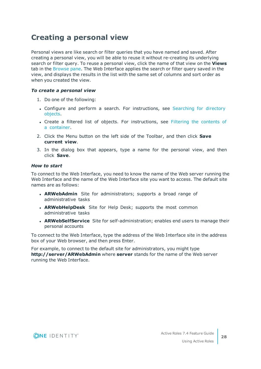### <span id="page-27-0"></span>**Creating a personal view**

Personal views are like search or filter queries that you have named and saved. After creating a personal view, you will be able to reuse it without re-creating its underlying search or filter query. To reuse a personal view, click the name of that view on the **Views** tab in the [Browse](#page-22-0) pane. The Web Interface applies the search or filter query saved in the view, and displays the results in the list with the same set of columns and sort order as when you created the view.

#### *To create a personal view*

- 1. Do one of the following:
- Configure and perform a search. For instructions, see [Searching](#page-24-1) for directory [objects](#page-24-1).
- Create a filtered list of objects. For instructions, see Filtering the [contents](#page-25-0) of a [container.](#page-25-0)
- 2. Click the Menu button on the left side of the Toolbar, and then click **Save current view**.
- 3. In the dialog box that appears, type a name for the personal view, and then click **Save**.

#### *How to start*

To connect to the Web Interface, you need to know the name of the Web server running the Web Interface and the name of the Web Interface site you want to access. The default site names are as follows:

- **ARWebAdmin** Site for administrators; supports a broad range of administrative tasks
- **ARWebHelpDesk** Site for Help Desk; supports the most common administrative tasks
- **ARWebSelfService** Site for self-administration; enables end users to manage their personal accounts

To connect to the Web Interface, type the address of the Web Interface site in the address box of your Web browser, and then press Enter.

For example, to connect to the default site for administrators, you might type **http://server/ARWebAdmin** where **server** stands for the name of the Web server running the Web Interface.

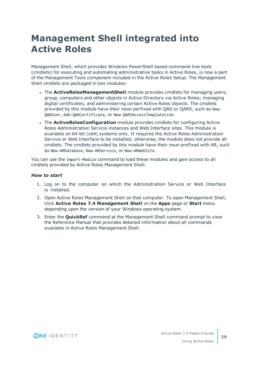# <span id="page-28-0"></span>**Management Shell integrated into Active Roles**

Management Shell, which provides Windows PowerShell based command-line tools (cmdlets) for executing and automating administrative tasks in Active Roles, is now a part of the Management Tools component included in the Active Roles Setup. The Management Shell cmdlets are packaged in two modules:

- **.** The **ActiveRolesManagementShell** module provides cmdlets for managing users, group, computers and other objects in Active Directory via Active Roles; managing digital certificates; and administering certain Active Roles objects. The cmdlets provided by this module have their noun perfixed with QAD or QARS, such as New-QADUser, Add-QADCertificate, or New-QARSAccessTemplateLink.
- <sup>l</sup> The **ActiveRolesConfiguration** module provides cmdlets for configuring Active Roles Administration Service instances and Web Interface sites. This module is available on 64-bit (x64) systems only. It requires the Active Roles Administration Service or Web Interface to be installed; otherwise, the module does not provide all cmdlets. The cmdlets provided by this module have their noun prefixed with AR, such as New-ARDatabase, New-ARService, or New-ARWebSite.

You can use the Import-Module command to load these modules and gain access to all cmdlets provided by Active Roles Management Shell.

#### *How to start*

- 1. Log on to the computer on which the Administration Service or Web Interface is installed.
- 2. Open Active Roles Management Shell on that computer. To open Management Shell, click **Active Roles 7.4 Management Shell** on the **Apps** page or **Start** menu depending upon the version of your Windows operating system.
- 3. Enter the **QuickRef** command at the Management Shell command prompt to view the Reference Manual that provides detailed information about all commands available in Active Roles Management Shell.

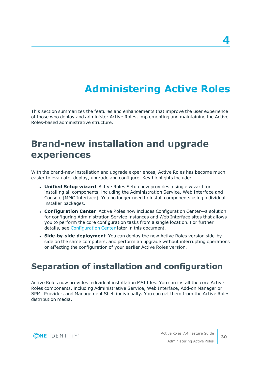# **Administering Active Roles**

<span id="page-29-0"></span>This section summarizes the features and enhancements that improve the user experience of those who deploy and administer Active Roles, implementing and maintaining the Active Roles-based administrative structure.

# <span id="page-29-1"></span>**Brand-new installation and upgrade experiences**

With the brand-new installation and upgrade experiences, Active Roles has become much easier to evaluate, deploy, upgrade and configure. Key highlights include:

- **Unified Setup wizard** Active Roles Setup now provides a single wizard for installing all components, including the Administration Service, Web Interface and Console (MMC Interface). You no longer need to install components using individual installer packages.
- <sup>l</sup> **Configuration Center** Active Roles now includes Configuration Center—a solution for configuring Administration Service instances and Web Interface sites that allows you to perform the core configuration tasks from a single location. For further details, see [Configuration](#page-30-1) Center later in this document.
- <sup>l</sup> **Side-by-side deployment** You can deploy the new Active Roles version side-byside on the same computers, and perform an upgrade without interrupting operations or affecting the configuration of your earlier Active Roles version.

## <span id="page-29-2"></span>**Separation of installation and configuration**

Active Roles now provides individual installation MSI files. You can install the core Active Roles components, including Administrative Service, Web Interface, Add-on Manager or SPML Provider, and Management Shell individually. You can get them from the Active Roles distribution media.



**30**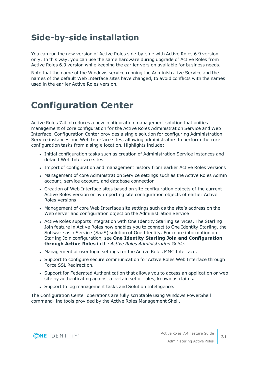## <span id="page-30-0"></span>**Side-by-side installation**

You can run the new version of Active Roles side-by-side with Active Roles 6.9 version only. In this way, you can use the same hardware during upgrade of Active Roles from Active Roles 6.9 version while keeping the earlier version available for business needs.

Note that the name of the Windows service running the Administrative Service and the names of the default Web Interface sites have changed, to avoid conflicts with the names used in the earlier Active Roles version.

# <span id="page-30-1"></span>**Configuration Center**

Active Roles 7.4 introduces a new configuration management solution that unifies management of core configuration for the Active Roles Administration Service and Web Interface. Configuration Center provides a single solution for configuring Administration Service instances and Web Interface sites, allowing administrators to perform the core configuration tasks from a single location. Highlights include:

- Initial configuration tasks such as creation of Administration Service instances and default Web Interface sites
- <sup>l</sup> Import of configuration and management history from earlier Active Roles versions
- Management of core Administration Service settings such as the Active Roles Admin account, service account, and database connection
- Creation of Web Interface sites based on site configuration objects of the current Active Roles version or by importing site configuration objects of earlier Active Roles versions
- Management of core Web Interface site settings such as the site's address on the Web server and configuration object on the Administration Service
- Active Roles supports integration with One Identity Starling services. The Starling Join feature in Active Roles now enables you to connect to One Identity Starling, the Software as a Service (SaaS) solution of One Identity. For more information on Starling Join configuration, see **One Identity Starling Join and Configuration through Active Roles** in the *Active Roles Administration Guide*.
- Management of user login settings for the Active Roles MMC Interface.
- Support to configure secure communication for Active Roles Web Interface through Force SSL Redirection.
- Support for Federated Authentication that allows you to access an application or web site by authenticating against a certain set of rules, known as claims.
- Support to log management tasks and Solution Intelligence.

The Configuration Center operations are fully scriptable using Windows PowerShell command-line tools provided by the Active Roles Management Shell.



**31**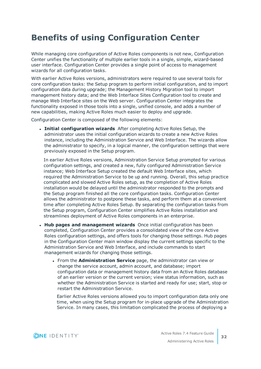## <span id="page-31-0"></span>**Benefits of using Configuration Center**

While managing core configuration of Active Roles components is not new, Configuration Center unifies the functionality of multiple earlier tools in a single, simple, wizard-based user interface. Configuration Center provides a single point of access to management wizards for all configuration tasks.

With earlier Active Roles versions, administrators were required to use several tools for core configuration tasks: the Setup program to perform initial configuration, and to import configuration data during upgrade; the Management History Migration tool to import management history data; and the Web Interface Sites Configuration tool to create and manage Web Interface sites on the Web server. Configuration Center integrates the functionality exposed in those tools into a single, unified console, and adds a number of new capabilities, making Active Roles much easier to deploy and upgrade.

Configuration Center is composed of the following elements:

<sup>l</sup> **Initial configuration wizards** After completing Active Roles Setup, the administrator uses the initial configuration wizards to create a new Active Roles instance, including the Administration Service and Web Interface. The wizards allow the administrator to specify, in a logical manner, the configuration settings that were previously exposed in the Setup program.

In earlier Active Roles versions, Administration Service Setup prompted for various configuration settings, and created a new, fully configured Administration Service instance; Web Interface Setup created the default Web Interface sites, which required the Administration Service to be up and running. Overall, this setup practice complicated and slowed Active Roles setup, as the completion of Active Roles installation would be delayed until the administrator responded to the prompts and the Setup program finished all the core configuration tasks. Configuration Center allows the administrator to postpone these tasks, and perform them at a convenient time after completing Active Roles Setup. By separating the configuration tasks from the Setup program, Configuration Center simplifies Active Roles installation and streamlines deployment of Active Roles components in an enterprise.

- <sup>l</sup> **Hub pages and management wizards** Once initial configuration has been completed, Configuration Center provides a consolidated view of the core Active Roles configuration settings, and offers tools for changing those settings. Hub pages in the Configuration Center main window display the current settings specific to the Administration Service and Web Interface, and include commands to start management wizards for changing those settings.
	- <sup>l</sup> From the **Administration Service** page, the administrator can view or change the service account, admin account, and database; import configuration data or management history data from an Active Roles database of an earlier version or the current version; view status information, such as whether the Administration Service is started and ready for use; start, stop or restart the Administration Service.

Earlier Active Roles versions allowed you to import configuration data only one time, when using the Setup program for in-place upgrade of the Administration Service. In many cases, this limitation complicated the process of deploying a

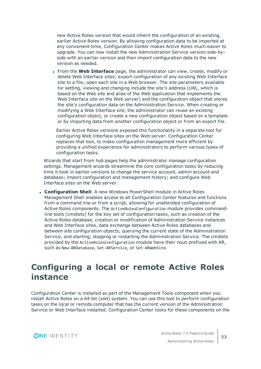new Active Roles version that would inherit the configuration of an existing, earlier Active Roles version. By allowing configuration data to be imported at any convenient time, Configuration Center makes Active Roles much easier to upgrade. You can now install the new Administration Service version side-byside with an earlier version and then import configuration data to the new version as needed.

<sup>l</sup> From the **Web Interface** page, the administrator can view, create, modify or delete Web Interface sites; export configuration of any existing Web Interface site to a file; open each site in a Web browser. The site parameters available for setting, viewing and changing include the site's address (URL, which is based on the Web site and alias of the Web application that implements the Web Interface site on the Web server) and the configuration object that stores the site's configuration data on the Administration Service. When creating or modifying a Web Interface site, the administrator can reuse an existing configuration object, or create a new configuration object based on a template or by importing data from another configuration object or from an export file.

Earlier Active Roles versions exposed this functionality in a separate tool for configuring Web Interface sites on the Web server. Configuration Center replaces that tool, to make configuration management more efficient by providing a unified experience for administrators to perform various types of configuration tasks.

Wizards that start from hub pages help the administrator manage configuration settings. Management wizards streamline the core configuration tasks by reducing time it took in earlier versions to change the service account, admin account and database; import configuration and management history; and configure Web Interface sites on the Web server.

**Configuration Shell** A new Windows PowerShell module in Active Roles Management Shell enables access to all Configuration Center features and functions from a command line or from a script, allowing for unattended configuration of Active Roles components. The ActiveRolesConfiguration module provides commandline tools (cmdlets) for the key set of configuration tasks, such as creation of the Active Roles database, creation or modification of Administration Service instances and Web Interface sites, data exchange between Active Roles databases and between site configuration objects, querying the current state of the Administration Service, and starting, stopping or restarting the Administration Service. The cmdlets provided by the ActiveRolesConfiguration module have their noun prefixed with AR, such as New-ARDatabase, Set-ARService, or Set-ARWebSite.

## <span id="page-32-0"></span>**Configuring a local or remote Active Roles instance**

Configuration Center is installed as part of the Management Tools component when you install Active Roles on a 64-bit (x64) system. You can use this tool to perform configuration tasks on the local or remote computer that has the current version of the Administration Service or Web Interface installed. Configuration Center looks for these components on the

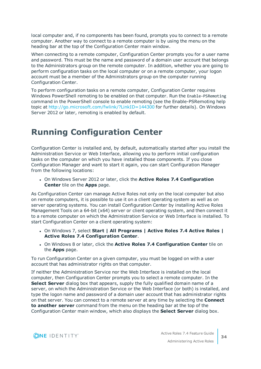local computer and, if no components has been found, prompts you to connect to a remote computer. Another way to connect to a remote computer is by using the menu on the heading bar at the top of the Configuration Center main window.

When connecting to a remote computer, Configuration Center prompts you for a user name and password. This must be the name and password of a domain user account that belongs to the Administrators group on the remote computer. In addition, whether you are going to perform configuration tasks on the local computer or on a remote computer, your logon account must be a member of the Administrators group on the computer running Configuration Center.

To perform configuration tasks on a remote computer, Configuration Center requires Windows PowerShell remoting to be enabled on that computer. Run the Enable-PSRemoting command in the PowerShell console to enable remoting (see the Enable-PSRemoting help topic at <http://go.microsoft.com/fwlink/?LinkID=144300> for further details). On Windows Server 2012 or later, remoting is enabled by default.

## <span id="page-33-0"></span>**Running Configuration Center**

Configuration Center is installed and, by default, automatically started after you install the Administration Service or Web Interface, allowing you to perform initial configuration tasks on the computer on which you have installed those components. If you close Configuration Manager and want to start it again, you can start Configuration Manager from the following locations:

<sup>l</sup> On Windows Server 2012 or later, click the **Active Roles 7.4 Configuration Center** tile on the **Apps** page.

As Configuration Center can manage Active Roles not only on the local computer but also on remote computers, it is possible to use it on a client operating system as well as on server operating systems. You can install Configuration Center by installing Active Roles Management Tools on a 64-bit (x64) server or client operating system, and then connect it to a remote computer on which the Administration Service or Web Interface is installed. To start Configuration Center on a client operating system:

- <sup>l</sup> On Windows 7, select **Start | All Programs | Active Roles 7.4 Active Roles | Active Roles 7.4 Configuration Center**.
- <sup>l</sup> On Windows 8 or later, click the **Active Roles 7.4 Configuration Center** tile on the **Apps** page.

To run Configuration Center on a given computer, you must be logged on with a user account that has administrator rights on that computer.

If neither the Administration Service nor the Web Interface is installed on the local computer, then Configuration Center prompts you to select a remote computer. In the **Select Server** dialog box that appears, supply the fully qualified domain name of a server, on which the Administration Service or the Web Interface (or both) is installed, and type the logon name and password of a domain user account that has administrator rights on that server. You can connect to a remote server at any time by selecting the **Connect to another server** command from the menu on the heading bar at the top of the Configuration Center main window, which also displays the **Select Server** dialog box.

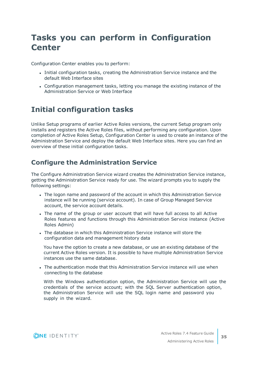## <span id="page-34-0"></span>**Tasks you can perform in Configuration Center**

Configuration Center enables you to perform:

- <sup>l</sup> Initial configuration tasks, creating the Administration Service instance and the default Web Interface sites
- Configuration management tasks, letting you manage the existing instance of the Administration Service or Web Interface

### <span id="page-34-1"></span>**Initial configuration tasks**

Unlike Setup programs of earlier Active Roles versions, the current Setup program only installs and registers the Active Roles files, without performing any configuration. Upon completion of Active Roles Setup, Configuration Center is used to create an instance of the Administration Service and deploy the default Web Interface sites. Here you can find an overview of these initial configuration tasks.

### **Configure the Administration Service**

The Configure Administration Service wizard creates the Administration Service instance, getting the Administration Service ready for use. The wizard prompts you to supply the following settings:

- The logon name and password of the account in which this Administration Service instance will be running (service account). In case of Group Managed Service account, the service account details.
- The name of the group or user account that will have full access to all Active Roles features and functions through this Administration Service instance (Active Roles Admin)
- The database in which this Administration Service instance will store the configuration data and management history data

You have the option to create a new database, or use an existing database of the current Active Roles version. It is possible to have multiple Administration Service instances use the same database.

. The authentication mode that this Administration Service instance will use when connecting to the database

With the Windows authentication option, the Administration Service will use the credentials of the service account; with the SQL Server authentication option, the Administration Service will use the SQL login name and password you supply in the wizard.

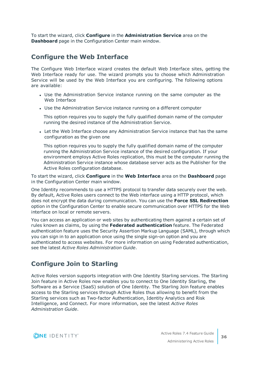To start the wizard, click **Configure** in the **Administration Service** area on the **Dashboard** page in the Configuration Center main window.

### **Configure the Web Interface**

The Configure Web Interface wizard creates the default Web Interface sites, getting the Web Interface ready for use. The wizard prompts you to choose which Administration Service will be used by the Web Interface you are configuring. The following options are available:

- Use the Administration Service instance running on the same computer as the Web Interface
- Use the Administration Service instance running on a different computer

This option requires you to supply the fully qualified domain name of the computer running the desired instance of the Administration Service.

• Let the Web Interface choose any Administration Service instance that has the same configuration as the given one

This option requires you to supply the fully qualified domain name of the computer running the Administration Service instance of the desired configuration. If your environment employs Active Roles replication, this must be the computer running the Administration Service instance whose database server acts as the Publisher for the Active Roles configuration database.

To start the wizard, click **Configure** in the **Web Interface** area on the **Dashboard** page in the Configuration Center main window.

One Identity recommends to use a HTTPS protocol to transfer data securely over the web. By default, Active Roles users connect to the Web interface using a HTTP protocol, which does not encrypt the data during communication. You can use the **Force SSL Redirection** option in the Configuration Center to enable secure communication over HTTPS for the Web interface on local or remote servers.

You can access an application or web sites by authenticating them against a certain set of rules known as claims, by using the **Federated authentication** feature. The Federated authentication feature uses the Security Assertion Markup Language (SAML), through which you can sign in to an application once using the single sign-on option and you are authenticated to access websites. For more information on using Federated authentication, see the latest *Active Roles Administration Guide*.

### **Configure Join to Starling**

Active Roles version supports integration with One Identity Starling services. The Starling Join feature in Active Roles now enables you to connect to One Identity Starling, the Software as a Service (SaaS) solution of One Identity. The Starling Join feature enables access to the Starling services through Active Roles thus allowing to benefit from the Starling services such as Two-factor Authentication, Identity Analytics and Risk Intelligence, and Connect. For more information, see the latest *Active Roles Administration Guide*.

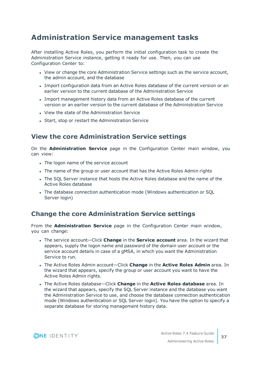### <span id="page-36-0"></span>**Administration Service management tasks**

After installing Active Roles, you perform the initial configuration task to create the Administration Service instance, getting it ready for use. Then, you can use Configuration Center to:

- View or change the core Administration Service settings such as the service account, the admin account, and the database
- Import configuration data from an Active Roles database of the current version or an earlier version to the current database of the Administration Service
- <sup>l</sup> Import management history data from an Active Roles database of the current version or an earlier version to the current database of the Administration Service
- View the state of the Administration Service
- Start, stop or restart the Administration Service

### **View the core Administration Service settings**

On the **Administration Service** page in the Configuration Center main window, you can view:

- The logon name of the service account
- The name of the group or user account that has the Active Roles Admin rights
- The SQL Server instance that hosts the Active Roles database and the name of the Active Roles database
- The database connection authentication mode (Windows authentication or SQL Server login)

### **Change the core Administration Service settings**

From the **Administration Service** page in the Configuration Center main window, you can change:

- <sup>l</sup> The service account—Click **Change** in the **Service account** area. In the wizard that appears, supply the logon name and password of the domain user account or the service account details in case of a gMSA, in which you want the Administration Service to run.
- <sup>l</sup> The Active Roles Admin account—Click **Change** in the **Active Roles Admin** area. In the wizard that appears, specify the group or user account you want to have the Active Roles Admin rights.
- <sup>l</sup> The Active Roles database—Click **Change** in the **Active Roles database** area. In the wizard that appears, specify the SQL Server instance and the database you want the Administration Service to use, and choose the database connection authentication mode (Windows authentication or SQL Server login). You have the option to specify a separate database for storing management history data.

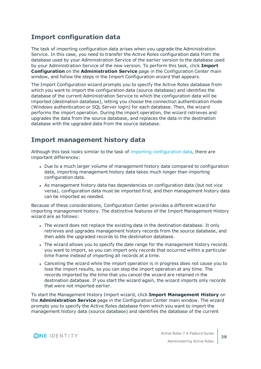### <span id="page-37-0"></span>**Import [configuration](#page-37-0) data**

The task of importing configuration data arises when you upgrade the Administration Service. In this case, you need to transfer the Active Roles configuration data from the database used by your Administration Service of the earlier version to the database used by your Administration Service of the new version. To perform this task, click **Import Configuration** on the **Administration Service** page in the Configuration Center main window, and follow the steps in the Import Configuration wizard that appears.

The Import Configuration wizard prompts you to specify the Active Roles database from which you want to import the configuration data (source database) and identifies the database of the current Administration Service to which the configuration data will be imported (destination database), letting you choose the connection authentication mode (Windows authentication or SQL Server login) for each database. Then, the wizard performs the import operation. During the import operation, the wizard retrieves and upgrades the data from the source database, and replaces the data in the destination database with the upgraded data from the source database.

### **Import management history data**

Although this task looks similar to the task of importing configuration data, there are important differences:

- Due to a much larger volume of management history data compared to configuration data, importing management history data takes much longer than importing configuration data.
- As management history data has dependencies on configuration data (but not vice versa), configuration data must be imported first, and then management history data can be imported as needed.

Because of these considerations, Configuration Center provides a different wizard for importing management history. The distinctive features of the Import Management History wizard are as follows:

- The wizard does not replace the existing data in the destination database. It only retrieves and upgrades management history records from the source database, and then adds the upgraded records to the destination database.
- The wizard allows you to specify the date range for the management history records you want to import, so you can import only records that occurred within a particular time frame instead of importing all records at a time.
- Canceling the wizard while the import operation is in progress does not cause you to lose the import results, so you can stop the import operation at any time. The records imported by the time that you cancel the wizard are retained in the destination database. If you start the wizard again, the wizard imports only records that were not imported earlier.

To start the Management History Import wizard, click **Import Management History** on the **Administration Service** page in the Configuration Center main window. The wizard prompts you to specify the Active Roles database from which you want to import the management history data (source database) and identifies the database of the current

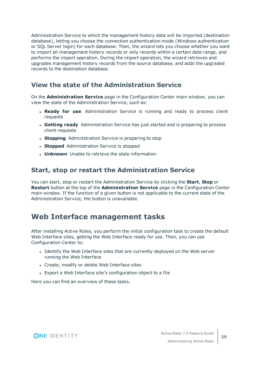Administration Service to which the management history data will be imported (destination database), letting you choose the connection authentication mode (Windows authentication or SQL Server login) for each database. Then, the wizard lets you choose whether you want to import all management history records or only records within a certain date range, and performs the import operation. During the import operation, the wizard retrieves and upgrades management history records from the source database, and adds the upgraded records to the destination database.

### **View the state of the Administration Service**

On the **Administration Service** page in the Configuration Center main window, you can view the state of the Administration Service, such as:

- **. Ready for use** Administration Service is running and ready to process client requests
- **. Getting ready** Administration Service has just started and is preparing to process client requests
- **. Stopping** Administration Service is preparing to stop
- **. Stopped** Administration Service is stopped
- **. Unknown** Unable to retrieve the state information

### **Start, stop or restart the Administration Service**

You can start, stop or restart the Administration Service by clicking the **Start**, **Stop** or **Restart** button at the top of the **Administration Service** page in the Configuration Center main window. If the function of a given button is not applicable to the current state of the Administration Service, the button is unavailable.

### <span id="page-38-0"></span>**Web Interface management tasks**

After installing Active Roles, you perform the initial configuration task to create the default Web Interface sites, getting the Web Interface ready for use. Then, you can use Configuration Center to:

- Identify the Web Interface sites that are currently deployed on the Web server running the Web Interface
- Create, modify or delete Web Interface sites
- Export a Web Interface site's configuration object to a file

Here you can find an overview of these tasks.

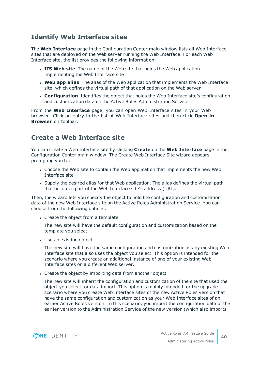### **Identify Web Interface sites**

The **Web Interface** page in the Configuration Center main window lists all Web Interface sites that are deployed on the Web server running the Web Interface. For each Web Interface site, the list provides the following information:

- **. IIS Web site** The name of the Web site that holds the Web application implementing the Web Interface site
- **Web app alias** The alias of the Web application that implements the Web Interface site, which defines the virtual path of that application on the Web server
- **Configuration** Identifies the object that holds the Web Interface site's configuration and customization data on the Active Roles Administration Service

From the **Web Interface** page, you can open Web Interface sites in your Web browser: Click an entry in the list of Web Interface sites and then click **Open in Browser** on toolbar.

### **Create a Web Interface site**

You can create a Web Interface site by clicking **Create** on the **Web Interface** page in the Configuration Center main window. The Create Web Interface Site wizard appears, prompting you to:

- Choose the Web site to contain the Web application that implements the new Web Interface site
- Supply the desired alias for that Web application. The alias defines the virtual path that becomes part of the Web Interface site's address (URL).

Then, the wizard lets you specify the object to hold the configuration and customization data of the new Web Interface site on the Active Roles Administration Service. You can choose from the following options:

• Create the object from a template

The new site will have the default configuration and customization based on the template you select.

• Use an existing object

The new site will have the same configuration and customization as any existing Web Interface site that also uses the object you select. This option is intended for the scenario where you create an additional instance of one of your existing Web Interface sites on a different Web server.

• Create the object by importing data from another object

The new site will inherit the configuration and customization of the site that used the object you select for data import. This option is mainly intended for the upgrade scenario where you create Web Interface sites of the new Active Roles version that have the same configuration and customization as your Web Interface sites of an earlier Active Roles version. In this scenario, you import the configuration data of the earlier version to the Administration Service of the new version (which also imports

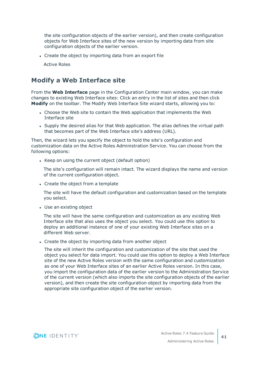the site configuration objects of the earlier version), and then create configuration objects for Web Interface sites of the new version by importing data from site configuration objects of the earlier version.

• Create the object by importing data from an export file

Active Roles

### **Modify a Web Interface site**

From the **Web Interface** page in the Configuration Center main window, you can make changes to existing Web Interface sites: Click an entry in the list of sites and then click **Modify** on the toolbar. The Modify Web Interface Site wizard starts, allowing you to:

- Choose the Web site to contain the Web application that implements the Web Interface site
- Supply the desired alias for that Web application. The alias defines the virtual path that becomes part of the Web Interface site's address (URL).

Then, the wizard lets you specify the object to hold the site's configuration and customization data on the Active Roles Administration Service. You can choose from the following options:

• Keep on using the current object (default option)

The site's configuration will remain intact. The wizard displays the name and version of the current configuration object.

• Create the object from a template

The site will have the default configuration and customization based on the template you select.

• Use an existing object

The site will have the same configuration and customization as any existing Web Interface site that also uses the object you select. You could use this option to deploy an additional instance of one of your existing Web Interface sites on a different Web server.

• Create the object by importing data from another object

The site will inherit the configuration and customization of the site that used the object you select for data import. You could use this option to deploy a Web Interface site of the new Active Roles version with the same configuration and customization as one of your Web Interface sites of an earlier Active Roles version. In this case, you import the configuration data of the earlier version to the Administration Service of the current version (which also imports the site configuration objects of the earlier version), and then create the site configuration object by importing data from the appropriate site configuration object of the earlier version.

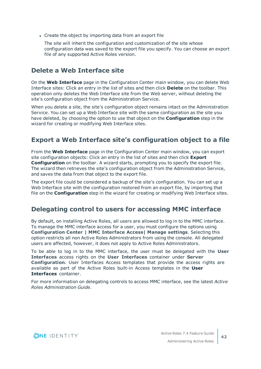• Create the object by importing data from an export file

The site will inherit the configuration and customization of the site whose configuration data was saved to the export file you specify. You can choose an export file of any supported Active Roles version.

### **Delete a Web Interface site**

On the **Web Interface** page in the Configuration Center main window, you can delete Web Interface sites: Click an entry in the list of sites and then click **Delete** on the toolbar. This operation only deletes the Web Interface site from the Web server, without deleting the site's configuration object from the Administration Service.

When you delete a site, the site's configuration object remains intact on the Administration Service. You can set up a Web Interface site with the same configuration as the site you have deleted, by choosing the option to use that object on the **Configuration** step in the wizard for creating or modifying Web Interface sites.

### **Export a Web Interface site's configuration object to a file**

From the **Web Interface** page in the Configuration Center main window, you can export site configuration objects: Click an entry in the list of sites and then click **Export Configuration** on the toolbar. A wizard starts, prompting you to specify the export file. The wizard then retrieves the site's configuration object from the Administration Service, and saves the data from that object to the export file.

The export file could be considered a backup of the site's configuration. You can set up a Web Interface site with the configuration restored from an export file, by importing that file on the **Configuration** step in the wizard for creating or modifying Web Interface sites.

### **Delegating control to users for accessing MMC interface**

By default, on installing Active Roles, all users are allowed to log in to the MMC interface. To manage the MMC interface access for a user, you must configure the options using **Configuration Center | MMC Interface Access| Manage settings**. Selecting this option restricts all non Active Roles Administrators from using the console. All delegated users are affected, however, it does not apply to Active Roles Administrators.

To be able to log in to the MMC interface, the user must be delegated with the **User Interfaces** access rights on the **User Interfaces** container under **Server Configuration**. User Interfaces Access templates that provide the access rights are available as part of the Active Roles built-in Access templates in the **User Interfaces** container.

For more information on delegating controls to access MMC interface, see the latest *Active Roles Administration Guide*.

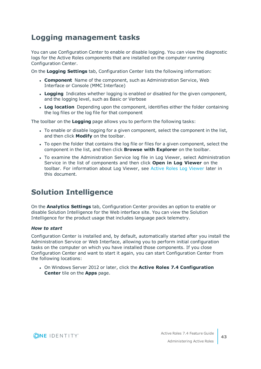### <span id="page-42-0"></span>**Logging management tasks**

You can use Configuration Center to enable or disable logging. You can view the diagnostic logs for the Active Roles components that are installed on the computer running Configuration Center.

On the **Logging Settings** tab, Configuration Center lists the following information:

- **Component** Name of the component, such as Administration Service, Web Interface or Console (MMC Interface)
- **Logging** Indicates whether logging is enabled or disabled for the given component, and the logging level, such as Basic or Verbose
- **Log location** Depending upon the component, identifies either the folder containing the log files or the log file for that component

The toolbar on the **Logging** page allows you to perform the following tasks:

- To enable or disable logging for a given component, select the component in the list, and then click **Modify** on the toolbar.
- To open the folder that contains the log file or files for a given component, select the component in the list, and then click **Browse with Explorer** on the toolbar.
- To examine the Administration Service log file in Log Viewer, select Administration Service in the list of components and then click **Open in Log Viewer** on the toolbar. For information about Log Viewer, see Active Roles Log [Viewer](#page-44-0) later in this document.

### <span id="page-42-1"></span>**Solution Intelligence**

On the **Analytics Settings** tab, Configuration Center provides an option to enable or disable Solution Intelligence for the Web interface site. You can view the Solution Intelligence for the product usage that includes language pack telemetry.

#### *How to start*

Configuration Center is installed and, by default, automatically started after you install the Administration Service or Web Interface, allowing you to perform initial configuration tasks on the computer on which you have installed those components. If you close Configuration Center and want to start it again, you can start Configuration Center from the following locations:

<sup>l</sup> On Windows Server 2012 or later, click the **Active Roles 7.4 Configuration Center** tile on the **Apps** page.

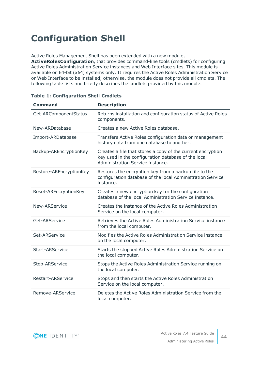# <span id="page-43-0"></span>**Configuration Shell**

Active Roles Management Shell has been extended with a new module,

**ActiveRolesConfiguration**, that provides command-line tools (cmdlets) for configuring Active Roles Administration Service instances and Web Interface sites. This module is available on 64-bit (x64) systems only. It requires the Active Roles Administration Service or Web Interface to be installed; otherwise, the module does not provide all cmdlets. The following table lists and briefly describes the cmdlets provided by this module.

| <b>Command</b>           | <b>Description</b>                                                                                                                                     |
|--------------------------|--------------------------------------------------------------------------------------------------------------------------------------------------------|
| Get-ARComponentStatus    | Returns installation and configuration status of Active Roles<br>components.                                                                           |
| New-ARDatabase           | Creates a new Active Roles database.                                                                                                                   |
| Import-ARDatabase        | Transfers Active Roles configuration data or management<br>history data from one database to another.                                                  |
| Backup-AREncryptionKey   | Creates a file that stores a copy of the current encryption<br>key used in the configuration database of the local<br>Administration Service instance. |
| Restore-AREncryptionKey  | Restores the encryption key from a backup file to the<br>configuration database of the local Administration Service<br>instance.                       |
| Reset-AREncryptionKey    | Creates a new encryption key for the configuration<br>database of the local Administration Service instance.                                           |
| New-ARService            | Creates the instance of the Active Roles Administration<br>Service on the local computer.                                                              |
| Get-ARService            | Retrieves the Active Roles Administration Service instance<br>from the local computer.                                                                 |
| Set-ARService            | Modifies the Active Roles Administration Service instance<br>on the local computer.                                                                    |
| <b>Start-ARService</b>   | Starts the stopped Active Roles Administration Service on<br>the local computer.                                                                       |
| Stop-ARService           | Stops the Active Roles Administration Service running on<br>the local computer.                                                                        |
| <b>Restart-ARService</b> | Stops and then starts the Active Roles Administration<br>Service on the local computer.                                                                |
| Remove-ARService         | Deletes the Active Roles Administration Service from the<br>local computer.                                                                            |

#### **Table 1: Configuration Shell Cmdlets**

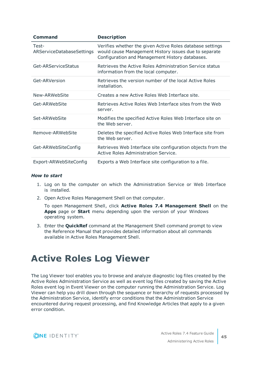| Command                            | <b>Description</b>                                                                                                                                                    |
|------------------------------------|-----------------------------------------------------------------------------------------------------------------------------------------------------------------------|
| Test-<br>ARServiceDatabaseSettings | Verifies whether the given Active Roles database settings<br>would cause Management History issues due to separate<br>Configuration and Management History databases. |
| Get-ARServiceStatus                | Retrieves the Active Roles Administration Service status<br>information from the local computer.                                                                      |
| Get-ARVersion                      | Retrieves the version number of the local Active Roles<br>installation.                                                                                               |
| New-ARWebSite                      | Creates a new Active Roles Web Interface site.                                                                                                                        |
| Get-ARWebSite                      | Retrieves Active Roles Web Interface sites from the Web<br>server.                                                                                                    |
| Set-ARWebSite                      | Modifies the specified Active Roles Web Interface site on<br>the Web server.                                                                                          |
| Remove-ARWebSite                   | Deletes the specified Active Roles Web Interface site from<br>the Web server.                                                                                         |
| Get-ARWebSiteConfig                | Retrieves Web Interface site configuration objects from the<br>Active Roles Administration Service.                                                                   |
| Export-ARWebSiteConfig             | Exports a Web Interface site configuration to a file.                                                                                                                 |

#### *How to start*

- 1. Log on to the computer on which the Administration Service or Web Interface is installed.
- 2. Open Active Roles Management Shell on that computer.

To open Management Shell, click **Active Roles 7.4 Management Shell** on the **Apps** page or **Start** menu depending upon the version of your Windows operating system.

3. Enter the **QuickRef** command at the Management Shell command prompt to view the Reference Manual that provides detailed information about all commands available in Active Roles Management Shell.

# <span id="page-44-0"></span>**Active Roles Log Viewer**

The Log Viewer tool enables you to browse and analyze diagnostic log files created by the Active Roles Administration Service as well as event log files created by saving the Active Roles event log in Event Viewer on the computer running the Administration Service. Log Viewer can help you drill down through the sequence or hierarchy of requests processed by the Administration Service, identify error conditions that the Administration Service encountered during request processing, and find Knowledge Articles that apply to a given error condition.

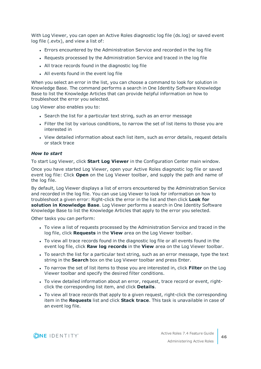With Log Viewer, you can open an Active Roles diagnostic log file (ds.log) or saved event log file (.evtx), and view a list of:

- Errors encountered by the Administration Service and recorded in the log file
- Requests processed by the Administration Service and traced in the log file
- All trace records found in the diagnostic log file
- All events found in the event log file

When you select an error in the list, you can choose a command to look for solution in Knowledge Base. The command performs a search in One Identity Software Knowledge Base to list the Knowledge Articles that can provide helpful information on how to troubleshoot the error you selected.

Log Viewer also enables you to:

- Search the list for a particular text string, such as an error message
- Filter the list by various conditions, to narrow the set of list items to those you are interested in
- View detailed information about each list item, such as error details, request details or stack trace

#### *How to start*

To start Log Viewer, click **Start Log Viewer** in the Configuration Center main window.

Once you have started Log Viewer, open your Active Roles diagnostic log file or saved event log file: Click **Open** on the Log Viewer toolbar, and supply the path and name of the log file.

By default, Log Viewer displays a list of errors encountered by the Administration Service and recorded in the log file. You can use Log Viewer to look for information on how to troubleshoot a given error: Right-click the error in the list and then click **Look for solution in Knowledge Base**. Log Viewer performs a search in One Identity Software Knowledge Base to list the Knowledge Articles that apply to the error you selected.

Other tasks you can perform:

- To view a list of requests processed by the Administration Service and traced in the log file, click **Requests** in the **View** area on the Log Viewer toolbar.
- To view all trace records found in the diagnostic log file or all events found in the event log file, click **Raw log records** in the **View** area on the Log Viewer toolbar.
- To search the list for a particular text string, such as an error message, type the text string in the **Search** box on the Log Viewer toolbar and press Enter.
- <sup>l</sup> To narrow the set of list items to those you are interested in, click **Filter** on the Log Viewer toolbar and specify the desired filter conditions.
- To view detailed information about an error, request, trace record or event, rightclick the corresponding list item, and click **Details**.
- To view all trace records that apply to a given request, right-click the corresponding item in the **Requests** list and click **Stack trace**. This task is unavailable in case of an event log file.

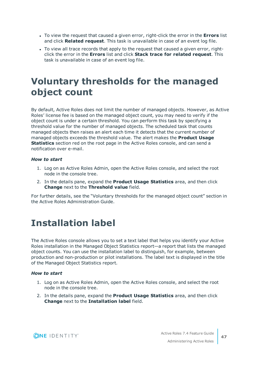- To view the request that caused a given error, right-click the error in the **Errors** list and click **Related request**. This task is unavailable in case of an event log file.
- To view all trace records that apply to the request that caused a given error, rightclick the error in the **Errors** list and click **Stack trace for related request**. This task is unavailable in case of an event log file.

# <span id="page-46-0"></span>**Voluntary thresholds for the managed object count**

By default, Active Roles does not limit the number of managed objects. However, as Active Roles' license fee is based on the managed object count, you may need to verify if the object count is under a certain threshold. You can perform this task by specifying a threshold value for the number of managed objects. The scheduled task that counts managed objects then raises an alert each time it detects that the current number of managed objects exceeds the threshold value. The alert makes the **Product Usage Statistics** section red on the root page in the Active Roles console, and can send a notification over e-mail.

#### *How to start*

- 1. Log on as Active Roles Admin, open the Active Roles console, and select the root node in the console tree.
- 2. In the details pane, expand the **Product Usage Statistics** area, and then click **Change** next to the **Threshold value** field.

For further details, see the "Voluntary thresholds for the managed object count" section in the Active Roles Administration Guide.

# <span id="page-46-1"></span>**Installation label**

The Active Roles console allows you to set a text label that helps you identify your Active Roles installation in the Managed Object Statistics report—a report that lists the managed object counts. You can use the installation label to distinguish, for example, between production and non-production or pilot installations. The label text is displayed in the title of the Managed Object Statistics report.

#### *How to start*

- 1. Log on as Active Roles Admin, open the Active Roles console, and select the root node in the console tree.
- 2. In the details pane, expand the **Product Usage Statistics** area, and then click **Change** next to the **Installation label** field.

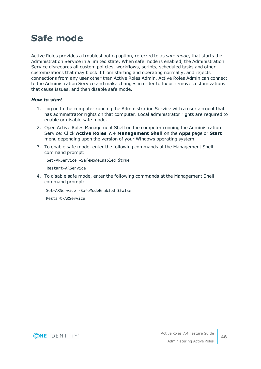# <span id="page-47-0"></span>**Safe mode**

Active Roles provides a troubleshooting option, referred to as *safe mode*, that starts the Administration Service in a limited state. When safe mode is enabled, the Administration Service disregards all custom policies, workflows, scripts, scheduled tasks and other customizations that may block it from starting and operating normally, and rejects connections from any user other than Active Roles Admin. Active Roles Admin can connect to the Administration Service and make changes in order to fix or remove customizations that cause issues, and then disable safe mode.

#### *How to start*

- 1. Log on to the computer running the Administration Service with a user account that has administrator rights on that computer. Local administrator rights are required to enable or disable safe mode.
- 2. Open Active Roles Management Shell on the computer running the Administration Service: Click **Active Roles 7.4 Management Shell** on the **Apps** page or **Start** menu depending upon the version of your Windows operating system.
- 3. To enable safe mode, enter the following commands at the Management Shell command prompt:

Set-ARService -SafeModeEnabled \$true

Restart-ARService

4. To disable safe mode, enter the following commands at the Management Shell command prompt:

Set-ARService -SafeModeEnabled \$false

Restart-ARService